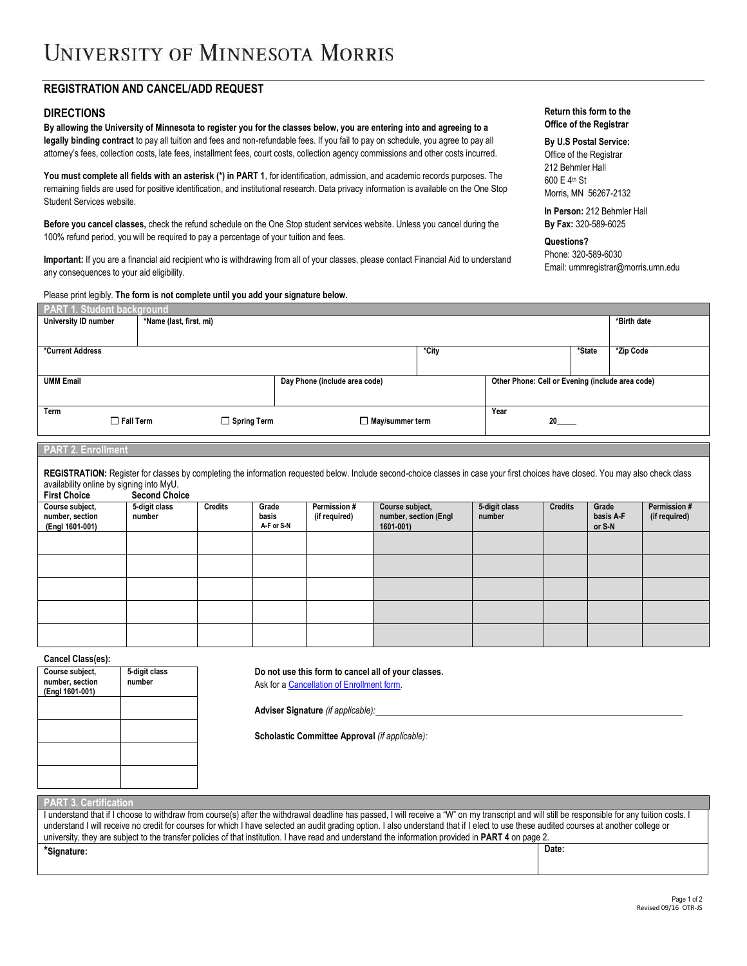# **REGISTRATION AND CANCEL/ADD REQUEST**

### **DIRECTIONS**

**By allowing the University of Minnesota to register you for the classes below, you are entering into and agreeing to a legally binding contract** to pay all tuition and fees and non-refundable fees. If you fail to pay on schedule, you agree to pay all attorney's fees, collection costs, late fees, installment fees, court costs, collection agency commissions and other costs incurred.

You must complete all fields with an asterisk (\*) in PART 1, for identification, admission, and academic records purposes. The remaining fields are used for positive identification, and institutional research. Data privacy information is available on the One Stop Student Services website.

**Before you cancel classes,** check the refund schedule on the One Stop student services website. Unless you cancel during the 100% refund period, you will be required to pay a percentage of your tuition and fees.

**Important:** If you are a financial aid recipient who is withdrawing from all of your classes, please contact Financial Aid to understand any consequences to your aid eligibility.

| Please print legibly. The form is not complete until you add your signature below. |                  |                         |                    |                               |       |                                                  |        |             |
|------------------------------------------------------------------------------------|------------------|-------------------------|--------------------|-------------------------------|-------|--------------------------------------------------|--------|-------------|
| <b>PART 1. Student background</b>                                                  |                  |                         |                    |                               |       |                                                  |        |             |
| University ID number                                                               |                  | *Name (last, first, mi) |                    |                               |       |                                                  |        | *Birth date |
|                                                                                    |                  |                         |                    |                               |       |                                                  |        |             |
| *Current Address                                                                   |                  |                         |                    |                               | *City |                                                  | *State | *Zip Code   |
|                                                                                    |                  |                         |                    |                               |       |                                                  |        |             |
| <b>UMM Email</b>                                                                   |                  |                         |                    | Day Phone (include area code) |       | Other Phone: Cell or Evening (include area code) |        |             |
|                                                                                    |                  |                         |                    |                               |       |                                                  |        |             |
| Term                                                                               |                  |                         |                    |                               |       | Year                                             |        |             |
|                                                                                    | $\Box$ Fall Term |                         | $\Box$ Spring Term | $\Box$ May/summer term        |       |                                                  |        |             |
|                                                                                    |                  |                         |                    |                               |       |                                                  |        |             |

#### **PART 2. Enrollment**

**REGISTRATION:** Register for classes by completing the information requested below. Include second-choice classes in case your first choices have closed. You may also check class availability online by signing into MyU.

| <b>First Choice</b>                                   | <b>Second Choice</b>    |                |                              |                               |                                                       |                         |                |                              |                               |
|-------------------------------------------------------|-------------------------|----------------|------------------------------|-------------------------------|-------------------------------------------------------|-------------------------|----------------|------------------------------|-------------------------------|
| Course subject,<br>number, section<br>(Engl 1601-001) | 5-digit class<br>number | <b>Credits</b> | Grade<br>basis<br>A-F or S-N | Permission #<br>(if required) | Course subject,<br>number, section (Engl<br>1601-001) | 5-digit class<br>number | <b>Credits</b> | Grade<br>basis A-F<br>or S-N | Permission #<br>(if required) |
|                                                       |                         |                |                              |                               |                                                       |                         |                |                              |                               |
|                                                       |                         |                |                              |                               |                                                       |                         |                |                              |                               |
|                                                       |                         |                |                              |                               |                                                       |                         |                |                              |                               |
|                                                       |                         |                |                              |                               |                                                       |                         |                |                              |                               |
|                                                       |                         |                |                              |                               |                                                       |                         |                |                              |                               |

**Cancel Class(es):**

| Course subject, | 5-digit class |
|-----------------|---------------|
| number, section | number        |
| (Engl 1601-001) |               |
|                 |               |
|                 |               |
|                 |               |
|                 |               |
|                 |               |
|                 |               |
|                 |               |
|                 |               |
|                 |               |
|                 |               |

**Do not use this form to cancel all of your classes.** Ask for [a Cancellation of Enrollment form.](https://netfiles.umn.edu/umm/www/registrar/MorEnroll.pdf)

**Adviser Signature** *(if applicable):*

**Scholastic Committee Approval** *(if applicable):*

**PART 3. Certification**

| I understand that if I choose to withdraw from course(s) after the withdrawal deadline has passed, I will receive a "W" on my transcript and will still be responsible for any tuition costs. I |       |  |  |  |  |
|-------------------------------------------------------------------------------------------------------------------------------------------------------------------------------------------------|-------|--|--|--|--|
| understand I will receive no credit for courses for which I have selected an audit grading option. I also understand that if I elect to use these audited courses at another college or         |       |  |  |  |  |
| university, they are subject to the transfer policies of that institution. I have read and understand the information provided in <b>PART 4</b> on page 2.                                      |       |  |  |  |  |
| "Signature:                                                                                                                                                                                     | Date: |  |  |  |  |

#### **Return this form to the Office of the Registrar**

**By U.S Postal Service:** Office of the Registrar 212 Behmler Hall 600 E 4th St Morris, MN 56267-2132

**In Person:** 212 Behmler Hall **By Fax:** 320-589-6025

**Questions?** Phone: 320-589-6030 Email: ummregistrar@morris.umn.edu